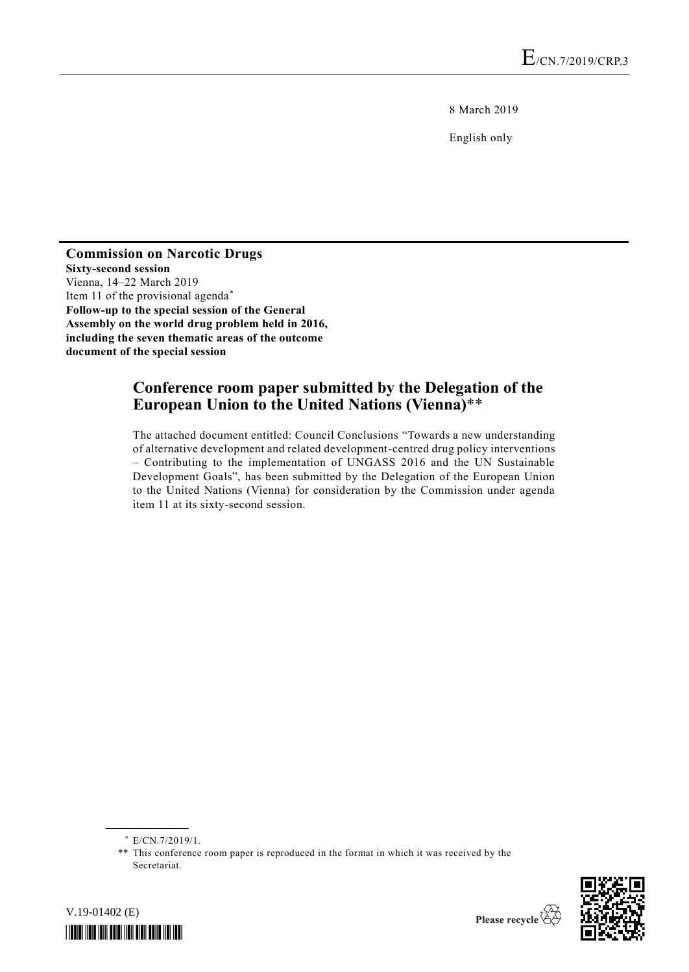8 March 2019

English only

**Commission on Narcotic Drugs Sixty-second session** Vienna, 14–22 March 2019 Item 11 of the provisional agenda\* **Follow-up to the special session of the General Assembly on the world drug problem held in 2016, including the seven thematic areas of the outcome document of the special session**

## **Conference room paper submitted by the Delegation of the European Union to the United Nations (Vienna)**\*\*

The attached document entitled: Council Conclusions "Towards a new understanding of alternative development and related development-centred drug policy interventions – Contributing to the implementation of UNGASS 2016 and the UN Sustainable Development Goals", has been submitted by the Delegation of the European Union to the United Nations (Vienna) for consideration by the Commission under agenda item 11 at its sixty-second session.

**\_\_\_\_\_\_\_\_\_\_\_\_\_\_\_\_\_\_**



V.19-01402 (E) *\*1901402\**

<sup>\*</sup> E/CN.7/2019/1.

<sup>\*\*</sup> This conference room paper is reproduced in the format in which it was received by the Secretariat.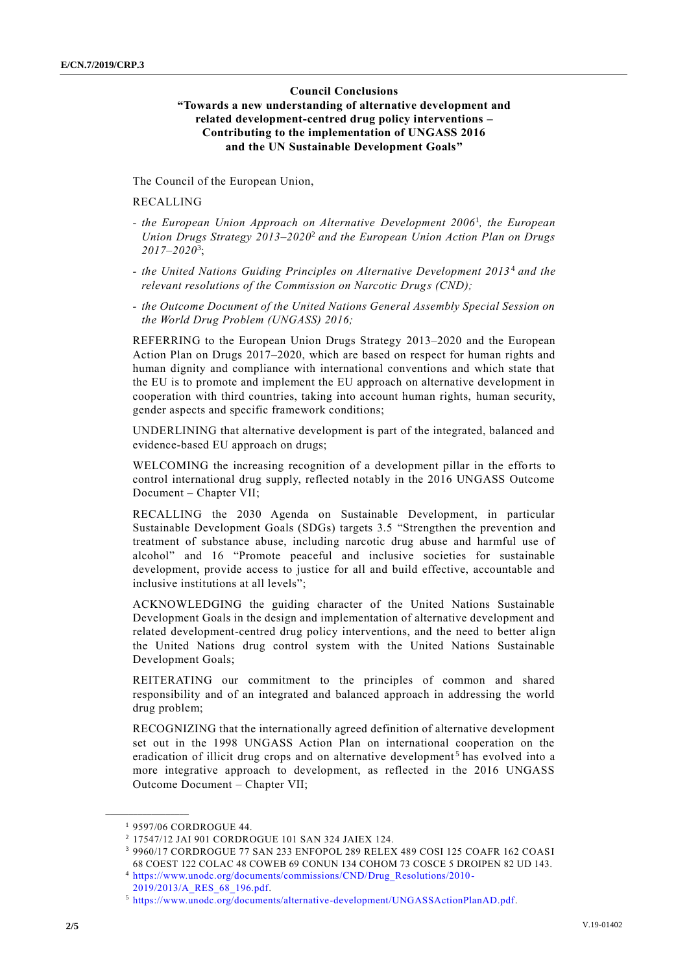## **Council Conclusions "Towards a new understanding of alternative development and related development-centred drug policy interventions – Contributing to the implementation of UNGASS 2016 and the UN Sustainable Development Goals"**

The Council of the European Union,

## RECALLING

- *- the European Union Approach on Alternative Development 2006*<sup>1</sup> *, the European Union Drugs Strategy 2013–2020*<sup>2</sup> *and the European Union Action Plan on Drugs 2017–2020*<sup>3</sup> ;
- *- the United Nations Guiding Principles on Alternative Development 2013* <sup>4</sup> *and the relevant resolutions of the Commission on Narcotic Drugs (CND);*
- *- the Outcome Document of the United Nations General Assembly Special Session on the World Drug Problem (UNGASS) 2016;*

REFERRING to the European Union Drugs Strategy 2013–2020 and the European Action Plan on Drugs 2017–2020, which are based on respect for human rights and human dignity and compliance with international conventions and which state that the EU is to promote and implement the EU approach on alternative development in cooperation with third countries, taking into account human rights, human security, gender aspects and specific framework conditions;

UNDERLINING that alternative development is part of the integrated, balanced and evidence-based EU approach on drugs;

WELCOMING the increasing recognition of a development pillar in the efforts to control international drug supply, reflected notably in the 2016 UNGASS Outcome Document – Chapter VII;

RECALLING the 2030 Agenda on Sustainable Development, in particular Sustainable Development Goals (SDGs) targets 3.5 "Strengthen the prevention and treatment of substance abuse, including narcotic drug abuse and harmful use of alcohol" and 16 "Promote peaceful and inclusive societies for sustainable development, provide access to justice for all and build effective, accountable and inclusive institutions at all levels";

ACKNOWLEDGING the guiding character of the United Nations Sustainable Development Goals in the design and implementation of alternative development and related development-centred drug policy interventions, and the need to better align the United Nations drug control system with the United Nations Sustainable Development Goals;

REITERATING our commitment to the principles of common and shared responsibility and of an integrated and balanced approach in addressing the world drug problem;

RECOGNIZING that the internationally agreed definition of alternative development set out in the 1998 UNGASS Action Plan on international cooperation on the eradication of illicit drug crops and on alternative development<sup>5</sup> has evolved into a more integrative approach to development, as reflected in the 2016 UNGASS Outcome Document – Chapter VII;

**\_\_\_\_\_\_\_\_\_\_\_\_\_\_\_\_\_\_**

<sup>1</sup> 9597/06 CORDROGUE 44.

<sup>2</sup> 17547/12 JAI 901 CORDROGUE 101 SAN 324 JAIEX 124.

<sup>3</sup> 9960/17 CORDROGUE 77 SAN 233 ENFOPOL 289 RELEX 489 COSI 125 COAFR 162 COASI 68 COEST 122 COLAC 48 COWEB 69 CONUN 134 COHOM 73 COSCE 5 DROIPEN 82 UD 143.

<sup>4</sup> [https://www.unodc.org/documents/commissions/CND/Drug\\_Resolutions/2010-](https://www.unodc.org/documents/commissions/CND/Drug_Resolutions/2010-2019/2013/A_RES_68_196.pdf) [2019/2013/A\\_RES\\_68\\_196.pdf.](https://www.unodc.org/documents/commissions/CND/Drug_Resolutions/2010-2019/2013/A_RES_68_196.pdf)

<sup>5</sup> [https://www.unodc.org/documents/alternative-development/UNGASSActionPlanAD.pdf.](https://www.unodc.org/documents/alternative-development/UNGASSActionPlanAD.pdf)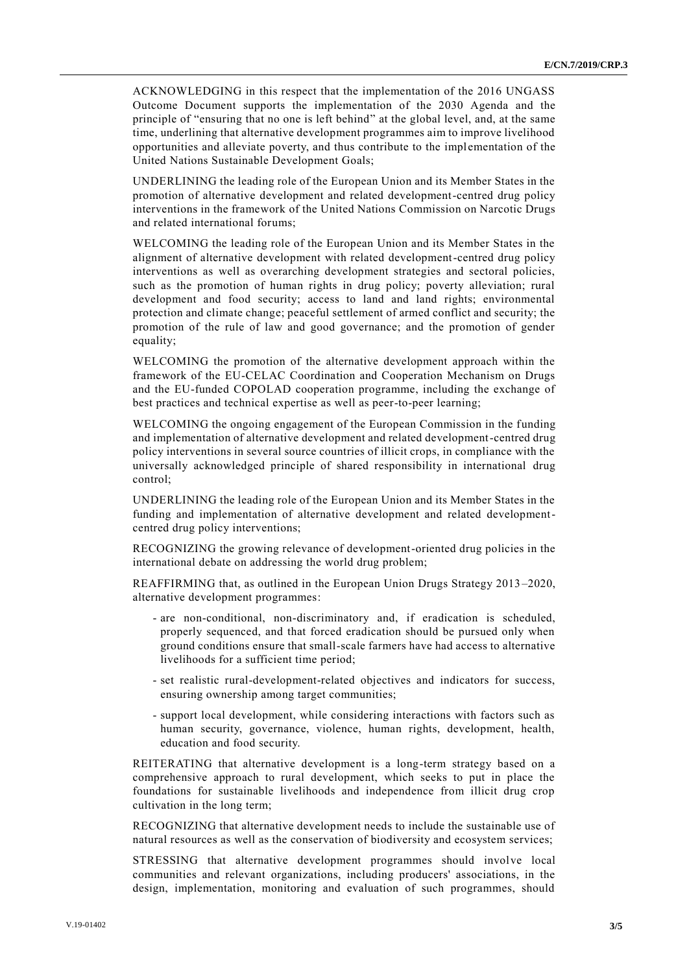ACKNOWLEDGING in this respect that the implementation of the 2016 UNGASS Outcome Document supports the implementation of the 2030 Agenda and the principle of "ensuring that no one is left behind" at the global level, and, at the same time, underlining that alternative development programmes aim to improve livelihood opportunities and alleviate poverty, and thus contribute to the implementation of the United Nations Sustainable Development Goals;

UNDERLINING the leading role of the European Union and its Member States in the promotion of alternative development and related development-centred drug policy interventions in the framework of the United Nations Commission on Narcotic Drugs and related international forums;

WELCOMING the leading role of the European Union and its Member States in the alignment of alternative development with related development-centred drug policy interventions as well as overarching development strategies and sectoral policies, such as the promotion of human rights in drug policy; poverty alleviation; rural development and food security; access to land and land rights; environmental protection and climate change; peaceful settlement of armed conflict and security; the promotion of the rule of law and good governance; and the promotion of gender equality;

WELCOMING the promotion of the alternative development approach within the framework of the EU-CELAC Coordination and Cooperation Mechanism on Drugs and the EU-funded COPOLAD cooperation programme, including the exchange of best practices and technical expertise as well as peer-to-peer learning;

WELCOMING the ongoing engagement of the European Commission in the funding and implementation of alternative development and related development-centred drug policy interventions in several source countries of illicit crops, in compliance with the universally acknowledged principle of shared responsibility in international drug control;

UNDERLINING the leading role of the European Union and its Member States in the funding and implementation of alternative development and related developmentcentred drug policy interventions;

RECOGNIZING the growing relevance of development-oriented drug policies in the international debate on addressing the world drug problem;

REAFFIRMING that, as outlined in the European Union Drugs Strategy 2013 –2020, alternative development programmes:

- are non-conditional, non-discriminatory and, if eradication is scheduled, properly sequenced, and that forced eradication should be pursued only when ground conditions ensure that small-scale farmers have had access to alternative livelihoods for a sufficient time period;
- set realistic rural-development-related objectives and indicators for success, ensuring ownership among target communities;
- support local development, while considering interactions with factors such as human security, governance, violence, human rights, development, health, education and food security.

REITERATING that alternative development is a long-term strategy based on a comprehensive approach to rural development, which seeks to put in place the foundations for sustainable livelihoods and independence from illicit drug crop cultivation in the long term;

RECOGNIZING that alternative development needs to include the sustainable use of natural resources as well as the conservation of biodiversity and ecosystem services;

STRESSING that alternative development programmes should involve local communities and relevant organizations, including producers' associations, in the design, implementation, monitoring and evaluation of such programmes, should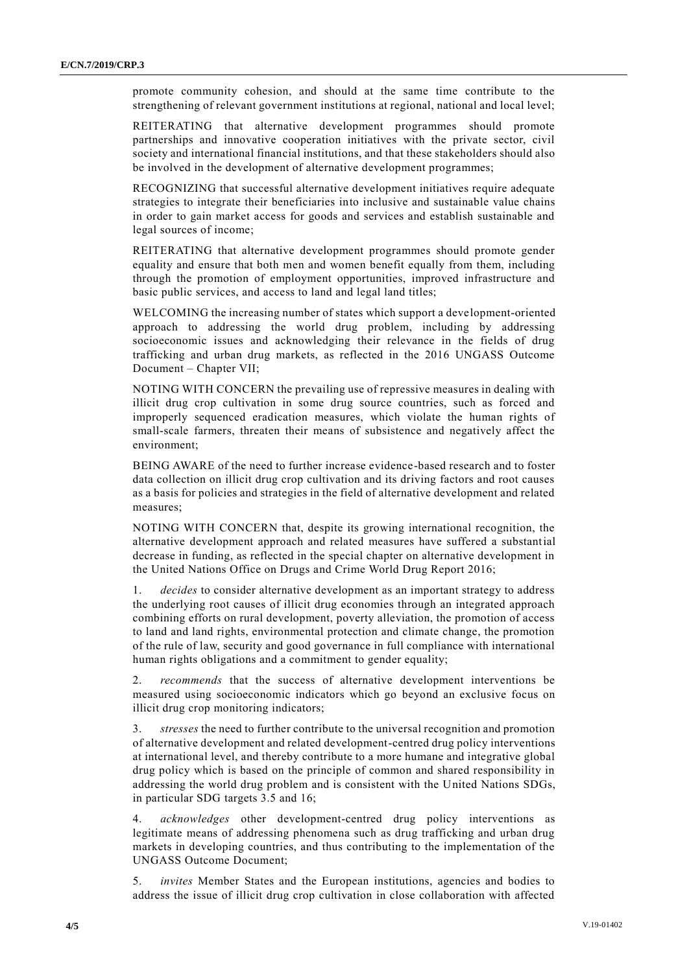promote community cohesion, and should at the same time contribute to the strengthening of relevant government institutions at regional, national and local level;

REITERATING that alternative development programmes should promote partnerships and innovative cooperation initiatives with the private sector, civil society and international financial institutions, and that these stakeholders should also be involved in the development of alternative development programmes;

RECOGNIZING that successful alternative development initiatives require adequate strategies to integrate their beneficiaries into inclusive and sustainable value chains in order to gain market access for goods and services and establish sustainable and legal sources of income;

REITERATING that alternative development programmes should promote gender equality and ensure that both men and women benefit equally from them, including through the promotion of employment opportunities, improved infrastructure and basic public services, and access to land and legal land titles;

WELCOMING the increasing number of states which support a development-oriented approach to addressing the world drug problem, including by addressing socioeconomic issues and acknowledging their relevance in the fields of drug trafficking and urban drug markets, as reflected in the 2016 UNGASS Outcome Document – Chapter VII;

NOTING WITH CONCERN the prevailing use of repressive measures in dealing with illicit drug crop cultivation in some drug source countries, such as forced and improperly sequenced eradication measures, which violate the human rights of small-scale farmers, threaten their means of subsistence and negatively affect the environment;

BEING AWARE of the need to further increase evidence-based research and to foster data collection on illicit drug crop cultivation and its driving factors and root causes as a basis for policies and strategies in the field of alternative development and related measures;

NOTING WITH CONCERN that, despite its growing international recognition, the alternative development approach and related measures have suffered a substantial decrease in funding, as reflected in the special chapter on alternative development in the United Nations Office on Drugs and Crime World Drug Report 2016;

1. *decides* to consider alternative development as an important strategy to address the underlying root causes of illicit drug economies through an integrated approach combining efforts on rural development, poverty alleviation, the promotion of access to land and land rights, environmental protection and climate change, the promotion of the rule of law, security and good governance in full compliance with international human rights obligations and a commitment to gender equality;

2. *recommends* that the success of alternative development interventions be measured using socioeconomic indicators which go beyond an exclusive focus on illicit drug crop monitoring indicators;

3. *stresses* the need to further contribute to the universal recognition and promotion of alternative development and related development-centred drug policy interventions at international level, and thereby contribute to a more humane and integrative global drug policy which is based on the principle of common and shared responsibility in addressing the world drug problem and is consistent with the United Nations SDGs, in particular SDG targets 3.5 and 16;

4. *acknowledges* other development-centred drug policy interventions as legitimate means of addressing phenomena such as drug trafficking and urban drug markets in developing countries, and thus contributing to the implementation of the UNGASS Outcome Document;

5. *invites* Member States and the European institutions, agencies and bodies to address the issue of illicit drug crop cultivation in close collaboration with affected